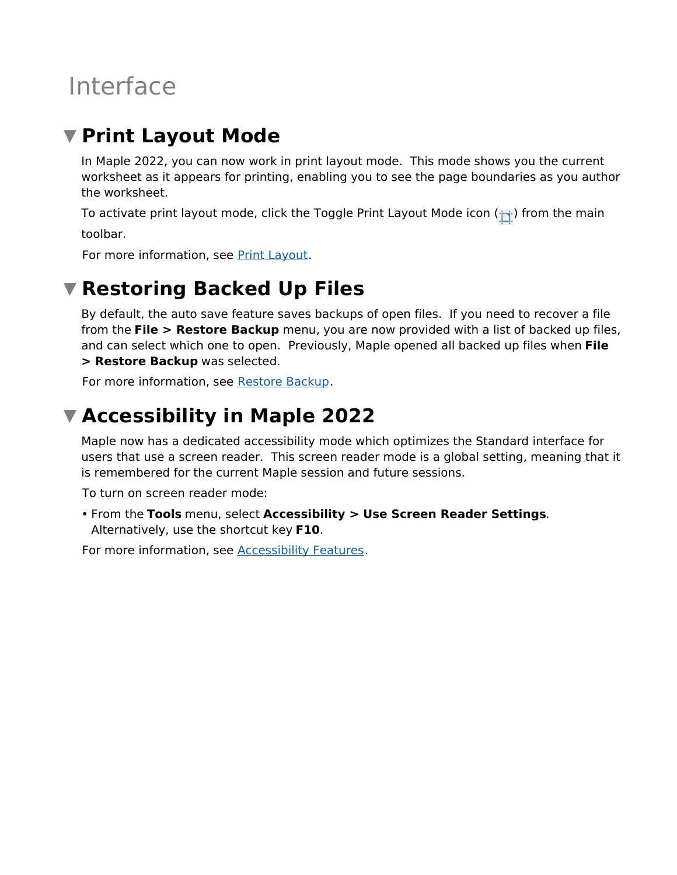# Interface

### **Print Layout Mode**

In Maple 2022, you can now work in print layout mode. This mode shows you the current worksheet as it appears for printing, enabling you to see the page boundaries as you author the worksheet.

To activate print layout mode, click the Toggle Print Layout Mode icon  $(\cdot)$  from the main

toolbar.

For more information, see Print Layout.

### **Restoring Backed Up Files**

By default, the auto save feature saves backups of open files. If you need to recover a file from the **File > Restore Backup** menu, you are now provided with a list of backed up files, and can select which one to open. Previously, Maple opened all backed up files when **File > Restore Backup** was selected.

For more information, see Restore Backup.

## **Accessibility in Maple 2022**

Maple now has a dedicated accessibility mode which optimizes the Standard interface for users that use a screen reader. This screen reader mode is a global setting, meaning that it is remembered for the current Maple session and future sessions.

To turn on screen reader mode:

From the **Tools** menu, select **Accessibility > Use Screen Reader Settings**. • Alternatively, use the shortcut key **F10**.

For more information, see Accessibility Features.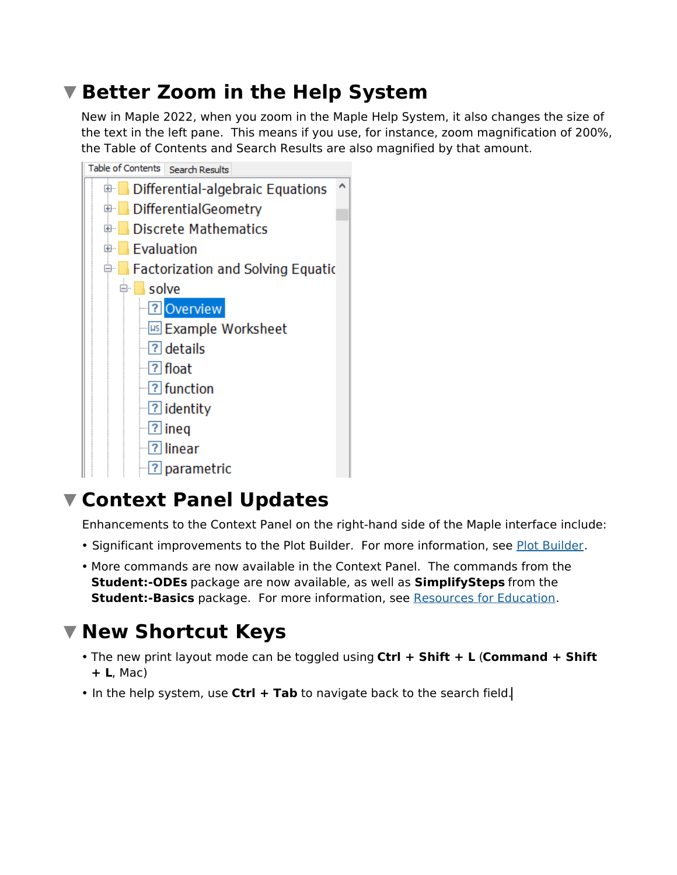### **Better Zoom in the Help System**

New in Maple 2022, when you zoom in the Maple Help System, it also changes the size of the text in the left pane. This means if you use, for instance, zoom magnification of 200%, the Table of Contents and Search Results are also magnified by that amount.



### **Context Panel Updates**

Enhancements to the Context Panel on the right-hand side of the Maple interface include:

- Significant improvements to the Plot Builder. For more information, see Plot Builder.
- More commands are now available in the Context Panel. The commands from the **Student:-ODEs** package are now available, as well as **SimplifySteps** from the **Student:-Basics** package. For more information, see Resources for Education.

#### **New Shortcut Keys**

- The new print layout mode can be toggled using **Ctrl + Shift + L** (**Command + Shift + L**, Mac)
- In the help system, use **Ctrl + Tab** to navigate back to the search field.